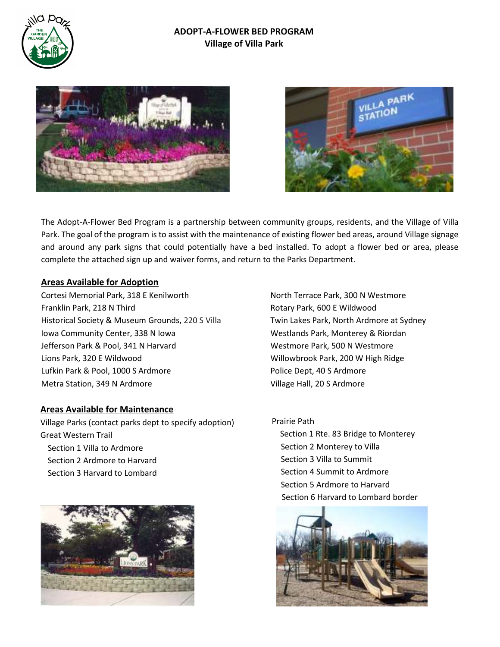

#### **ADOPT-A-FLOWER BED PROGRAM Village of Villa Park**





The Adopt-A-Flower Bed Program is a partnership between community groups, residents, and the Village of Villa Park. The goal of the program is to assist with the maintenance of existing flower bed areas, around Village signage and around any park signs that could potentially have a bed installed. To adopt a flower bed or area, please complete the attached sign up and waiver forms, and return to the Parks Department.

#### **Areas Available for Adoption**

Cortesi Memorial Park, 318 E Kenilworth Franklin Park, 218 N Third Historical Society & Museum Grounds, 220 S Villa Iowa Community Center, 338 N Iowa Jefferson Park & Pool, 341 N Harvard Lions Park, 320 E Wildwood Lufkin Park & Pool, 1000 S Ardmore Metra Station, 349 N Ardmore

#### **Areas Available for Maintenance**

Village Parks (contact parks dept to specify adoption) Great Western Trail Section 1 Villa to Ardmore Section 2 Ardmore to Harvard Section 3 Harvard to Lombard



North Terrace Park, 300 N Westmore Rotary Park, 600 E Wildwood Twin Lakes Park, North Ardmore at Sydney Westlands Park, Monterey & Riordan Westmore Park, 500 N Westmore Willowbrook Park, 200 W High Ridge Police Dept, 40 S Ardmore Village Hall, 20 S Ardmore

#### Prairie Path

 Section 1 Rte. 83 Bridge to Monterey Section 2 Monterey to Villa Section 3 Villa to Summit Section 4 Summit to Ardmore Section 5 Ardmore to Harvard Section 6 Harvard to Lombard border

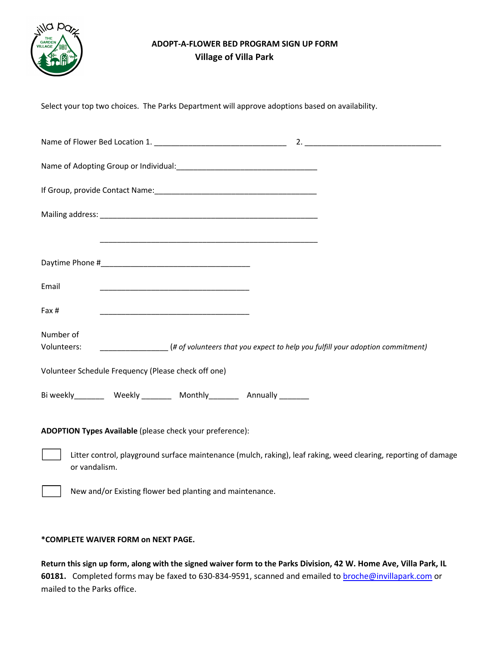

## **ADOPT-A-FLOWER BED PROGRAM SIGN UP FORM Village of Villa Park**

Select your top two choices. The Parks Department will approve adoptions based on availability.

|                                                                         | <u> 1989 - Johann John Stoff, deutscher Stoffen und der Stoffen und der Stoffen und der Stoffen und der Stoffen</u> |                                                                                                                 |
|-------------------------------------------------------------------------|---------------------------------------------------------------------------------------------------------------------|-----------------------------------------------------------------------------------------------------------------|
|                                                                         |                                                                                                                     |                                                                                                                 |
| Email                                                                   |                                                                                                                     |                                                                                                                 |
| Fax #                                                                   |                                                                                                                     |                                                                                                                 |
| Number of                                                               |                                                                                                                     |                                                                                                                 |
| Volunteers:                                                             | (# of volunteers that you expect to help you fulfill your adoption commitment)                                      |                                                                                                                 |
| Volunteer Schedule Frequency (Please check off one)                     |                                                                                                                     |                                                                                                                 |
| Bi weekly__________ Weekly _________ Monthly_________ Annually ________ |                                                                                                                     |                                                                                                                 |
| ADOPTION Types Available (please check your preference):                |                                                                                                                     |                                                                                                                 |
| or vandalism.                                                           |                                                                                                                     | Litter control, playground surface maintenance (mulch, raking), leaf raking, weed clearing, reporting of damage |

New and/or Existing flower bed planting and maintenance.

#### **\*COMPLETE WAIVER FORM on NEXT PAGE.**

**Return this sign up form, along with the signed waiver form to the Parks Division, 42 W. Home Ave, Villa Park, IL 60181.** Completed forms may be faxed to 630-834-9591, scanned and emailed to broche@invillapark.com or mailed to the Parks office.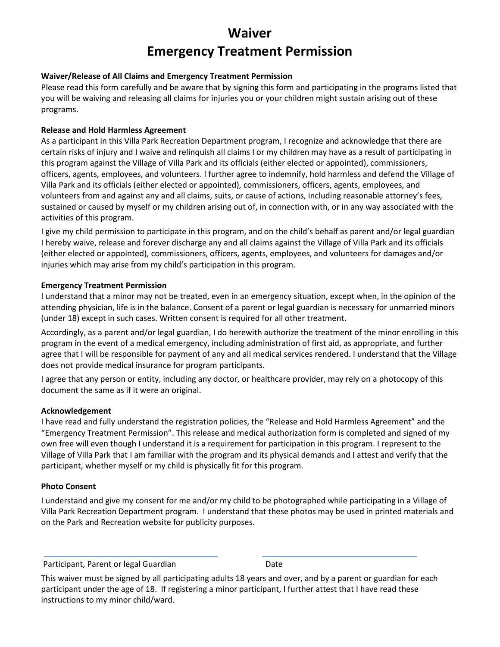# **Waiver Emergency Treatment Permission**

#### **Waiver/Release of All Claims and Emergency Treatment Permission**

Please read this form carefully and be aware that by signing this form and participating in the programs listed that you will be waiving and releasing all claims for injuries you or your children might sustain arising out of these programs.

#### **Release and Hold Harmless Agreement**

As a participant in this Villa Park Recreation Department program, I recognize and acknowledge that there are certain risks of injury and I waive and relinquish all claims I or my children may have as a result of participating in this program against the Village of Villa Park and its officials (either elected or appointed), commissioners, officers, agents, employees, and volunteers. I further agree to indemnify, hold harmless and defend the Village of Villa Park and its officials (either elected or appointed), commissioners, officers, agents, employees, and volunteers from and against any and all claims, suits, or cause of actions, including reasonable attorney's fees, sustained or caused by myself or my children arising out of, in connection with, or in any way associated with the activities of this program.

I give my child permission to participate in this program, and on the child's behalf as parent and/or legal guardian I hereby waive, release and forever discharge any and all claims against the Village of Villa Park and its officials (either elected or appointed), commissioners, officers, agents, employees, and volunteers for damages and/or injuries which may arise from my child's participation in this program.

#### **Emergency Treatment Permission**

I understand that a minor may not be treated, even in an emergency situation, except when, in the opinion of the attending physician, life is in the balance. Consent of a parent or legal guardian is necessary for unmarried minors (under 18) except in such cases. Written consent is required for all other treatment.

Accordingly, as a parent and/or legal guardian, I do herewith authorize the treatment of the minor enrolling in this program in the event of a medical emergency, including administration of first aid, as appropriate, and further agree that I will be responsible for payment of any and all medical services rendered. I understand that the Village does not provide medical insurance for program participants.

I agree that any person or entity, including any doctor, or healthcare provider, may rely on a photocopy of this document the same as if it were an original.

#### **Acknowledgement**

I have read and fully understand the registration policies, the "Release and Hold Harmless Agreement" and the "Emergency Treatment Permission". This release and medical authorization form is completed and signed of my own free will even though I understand it is a requirement for participation in this program. I represent to the Village of Villa Park that I am familiar with the program and its physical demands and I attest and verify that the participant, whether myself or my child is physically fit for this program.

#### **Photo Consent**

I understand and give my consent for me and/or my child to be photographed while participating in a Village of Villa Park Recreation Department program. I understand that these photos may be used in printed materials and on the Park and Recreation website for publicity purposes.

Participant, Parent or legal Guardian Date

This waiver must be signed by all participating adults 18 years and over, and by a parent or guardian for each participant under the age of 18. If registering a minor participant, I further attest that I have read these instructions to my minor child/ward.